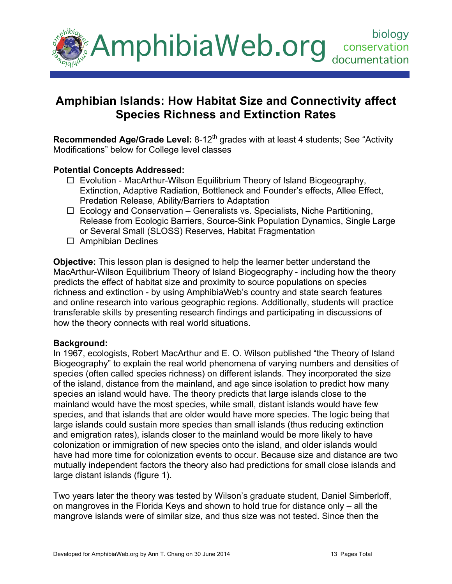

# **Amphibian Islands: How Habitat Size and Connectivity affect Species Richness and Extinction Rates**

**Recommended Age/Grade Level:** 8-12<sup>th</sup> grades with at least 4 students; See "Activity Modifications" below for College level classes

#### **Potential Concepts Addressed:**

- $\Box$  Evolution MacArthur-Wilson Equilibrium Theory of Island Biogeography, Extinction, Adaptive Radiation, Bottleneck and Founder's effects, Allee Effect, Predation Release, Ability/Barriers to Adaptation
- $\Box$  Ecology and Conservation Generalists vs. Specialists, Niche Partitioning, Release from Ecologic Barriers, Source-Sink Population Dynamics, Single Large or Several Small (SLOSS) Reserves, Habitat Fragmentation
- $\Box$  Amphibian Declines

**Objective:** This lesson plan is designed to help the learner better understand the MacArthur-Wilson Equilibrium Theory of Island Biogeography - including how the theory predicts the effect of habitat size and proximity to source populations on species richness and extinction - by using AmphibiaWeb's country and state search features and online research into various geographic regions. Additionally, students will practice transferable skills by presenting research findings and participating in discussions of how the theory connects with real world situations.

#### **Background:**

In 1967, ecologists, Robert MacArthur and E. O. Wilson published "the Theory of Island Biogeography" to explain the real world phenomena of varying numbers and densities of species (often called species richness) on different islands. They incorporated the size of the island, distance from the mainland, and age since isolation to predict how many species an island would have. The theory predicts that large islands close to the mainland would have the most species, while small, distant islands would have few species, and that islands that are older would have more species. The logic being that large islands could sustain more species than small islands (thus reducing extinction and emigration rates), islands closer to the mainland would be more likely to have colonization or immigration of new species onto the island, and older islands would have had more time for colonization events to occur. Because size and distance are two mutually independent factors the theory also had predictions for small close islands and large distant islands (figure 1).

Two years later the theory was tested by Wilson's graduate student, Daniel Simberloff, on mangroves in the Florida Keys and shown to hold true for distance only – all the mangrove islands were of similar size, and thus size was not tested. Since then the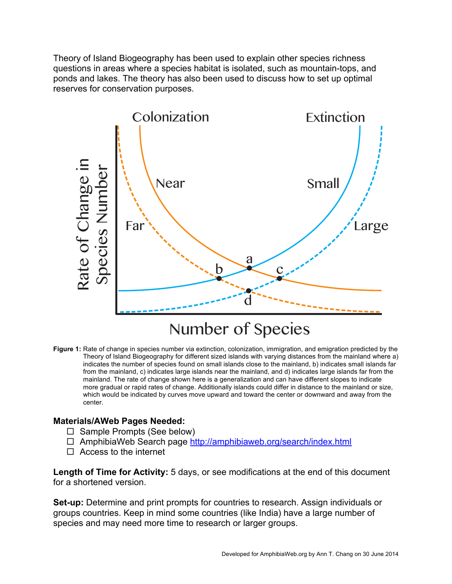Theory of Island Biogeography has been used to explain other species richness questions in areas where a species habitat is isolated, such as mountain-tops, and ponds and lakes. The theory has also been used to discuss how to set up optimal reserves for conservation purposes.



#### **Figure 1:** Rate of change in species number via extinction, colonization, immigration, and emigration predicted by the Theory of Island Biogeography for different sized islands with varying distances from the mainland where a) indicates the number of species found on small islands close to the mainland, b) indicates small islands far from the mainland, c) indicates large islands near the mainland, and d) indicates large islands far from the mainland. The rate of change shown here is a generalization and can have different slopes to indicate more gradual or rapid rates of change. Additionally islands could differ in distance to the mainland or size, which would be indicated by curves move upward and toward the center or downward and away from the center.

# **Materials/AWeb Pages Needed:**

- $\Box$  Sample Prompts (See below)
- AmphibiaWeb Search page http://amphibiaweb.org/search/index.html
- $\Box$  Access to the internet

**Length of Time for Activity:** 5 days, or see modifications at the end of this document for a shortened version.

**Set-up:** Determine and print prompts for countries to research. Assign individuals or groups countries. Keep in mind some countries (like India) have a large number of species and may need more time to research or larger groups.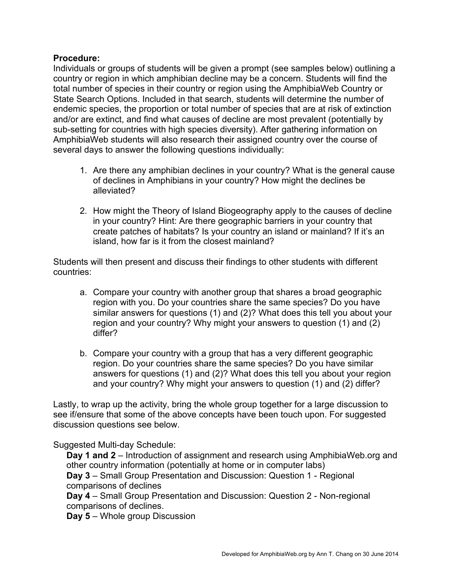## **Procedure:**

Individuals or groups of students will be given a prompt (see samples below) outlining a country or region in which amphibian decline may be a concern. Students will find the total number of species in their country or region using the AmphibiaWeb Country or State Search Options. Included in that search, students will determine the number of endemic species, the proportion or total number of species that are at risk of extinction and/or are extinct, and find what causes of decline are most prevalent (potentially by sub-setting for countries with high species diversity). After gathering information on AmphibiaWeb students will also research their assigned country over the course of several days to answer the following questions individually:

- 1. Are there any amphibian declines in your country? What is the general cause of declines in Amphibians in your country? How might the declines be alleviated?
- 2. How might the Theory of Island Biogeography apply to the causes of decline in your country? Hint: Are there geographic barriers in your country that create patches of habitats? Is your country an island or mainland? If it's an island, how far is it from the closest mainland?

Students will then present and discuss their findings to other students with different countries:

- a. Compare your country with another group that shares a broad geographic region with you. Do your countries share the same species? Do you have similar answers for questions (1) and (2)? What does this tell you about your region and your country? Why might your answers to question (1) and (2) differ?
- b. Compare your country with a group that has a very different geographic region. Do your countries share the same species? Do you have similar answers for questions (1) and (2)? What does this tell you about your region and your country? Why might your answers to question (1) and (2) differ?

Lastly, to wrap up the activity, bring the whole group together for a large discussion to see if/ensure that some of the above concepts have been touch upon. For suggested discussion questions see below.

Suggested Multi-day Schedule:

**Day 1 and 2** – Introduction of assignment and research using AmphibiaWeb.org and other country information (potentially at home or in computer labs) **Day 3** – Small Group Presentation and Discussion: Question 1 - Regional comparisons of declines

**Day 4** – Small Group Presentation and Discussion: Question 2 - Non-regional comparisons of declines.

**Day 5** – Whole group Discussion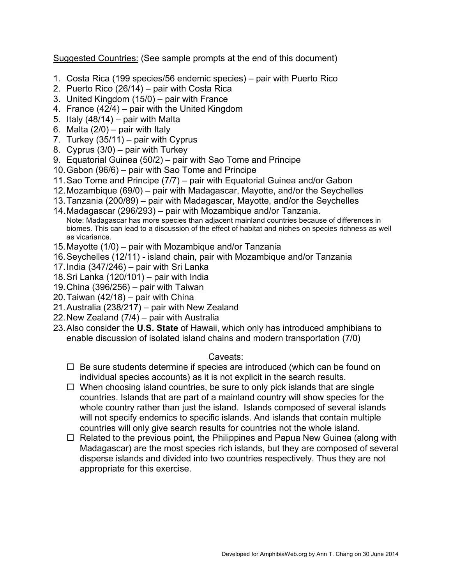Suggested Countries: (See sample prompts at the end of this document)

- 1. Costa Rica (199 species/56 endemic species) pair with Puerto Rico
- 2. Puerto Rico (26/14) pair with Costa Rica
- 3. United Kingdom (15/0) pair with France
- 4. France (42/4) pair with the United Kingdom
- 5. Italy  $(48/14)$  pair with Malta
- 6. Malta  $(2/0)$  pair with Italy
- 7. Turkey  $(35/11)$  pair with Cyprus
- 8. Cyprus (3/0) pair with Turkey
- 9. Equatorial Guinea (50/2) pair with Sao Tome and Principe
- 10.Gabon (96/6) pair with Sao Tome and Principe
- 11.Sao Tome and Principe (7/7) pair with Equatorial Guinea and/or Gabon
- 12.Mozambique (69/0) pair with Madagascar, Mayotte, and/or the Seychelles
- 13.Tanzania (200/89) pair with Madagascar, Mayotte, and/or the Seychelles
- 14.Madagascar (296/293) pair with Mozambique and/or Tanzania. Note: Madagascar has more species than adjacent mainland countries because of differences in biomes. This can lead to a discussion of the effect of habitat and niches on species richness as well as vicariance.
- 15.Mayotte (1/0) pair with Mozambique and/or Tanzania
- 16.Seychelles (12/11) island chain, pair with Mozambique and/or Tanzania
- 17.India (347/246) pair with Sri Lanka
- 18.Sri Lanka (120/101) pair with India
- 19.China (396/256) pair with Taiwan
- 20. Taiwan  $(42/18)$  pair with China
- 21.Australia (238/217) pair with New Zealand
- 22.New Zealand (7/4) pair with Australia
- 23.Also consider the **U.S. State** of Hawaii, which only has introduced amphibians to enable discussion of isolated island chains and modern transportation (7/0)

## Caveats:

- $\Box$  Be sure students determine if species are introduced (which can be found on individual species accounts) as it is not explicit in the search results.
- $\Box$  When choosing island countries, be sure to only pick islands that are single countries. Islands that are part of a mainland country will show species for the whole country rather than just the island. Islands composed of several islands will not specify endemics to specific islands. And islands that contain multiple countries will only give search results for countries not the whole island.
- $\Box$  Related to the previous point, the Philippines and Papua New Guinea (along with Madagascar) are the most species rich islands, but they are composed of several disperse islands and divided into two countries respectively. Thus they are not appropriate for this exercise.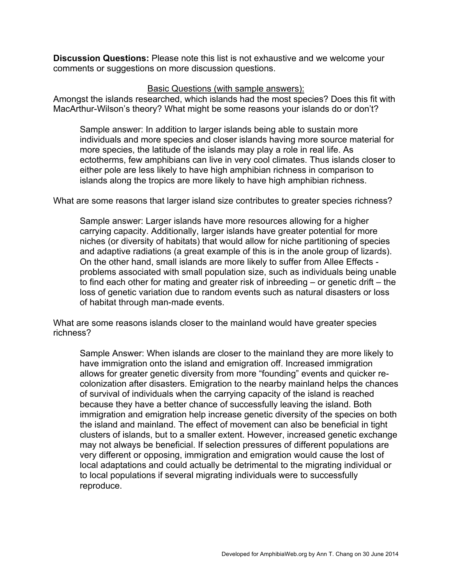**Discussion Questions:** Please note this list is not exhaustive and we welcome your comments or suggestions on more discussion questions.

#### Basic Questions (with sample answers):

Amongst the islands researched, which islands had the most species? Does this fit with MacArthur-Wilson's theory? What might be some reasons your islands do or don't?

Sample answer: In addition to larger islands being able to sustain more individuals and more species and closer islands having more source material for more species, the latitude of the islands may play a role in real life. As ectotherms, few amphibians can live in very cool climates. Thus islands closer to either pole are less likely to have high amphibian richness in comparison to islands along the tropics are more likely to have high amphibian richness.

What are some reasons that larger island size contributes to greater species richness?

Sample answer: Larger islands have more resources allowing for a higher carrying capacity. Additionally, larger islands have greater potential for more niches (or diversity of habitats) that would allow for niche partitioning of species and adaptive radiations (a great example of this is in the anole group of lizards). On the other hand, small islands are more likely to suffer from Allee Effects problems associated with small population size, such as individuals being unable to find each other for mating and greater risk of inbreeding – or genetic drift – the loss of genetic variation due to random events such as natural disasters or loss of habitat through man-made events.

What are some reasons islands closer to the mainland would have greater species richness?

Sample Answer: When islands are closer to the mainland they are more likely to have immigration onto the island and emigration off. Increased immigration allows for greater genetic diversity from more "founding" events and quicker recolonization after disasters. Emigration to the nearby mainland helps the chances of survival of individuals when the carrying capacity of the island is reached because they have a better chance of successfully leaving the island. Both immigration and emigration help increase genetic diversity of the species on both the island and mainland. The effect of movement can also be beneficial in tight clusters of islands, but to a smaller extent. However, increased genetic exchange may not always be beneficial. If selection pressures of different populations are very different or opposing, immigration and emigration would cause the lost of local adaptations and could actually be detrimental to the migrating individual or to local populations if several migrating individuals were to successfully reproduce.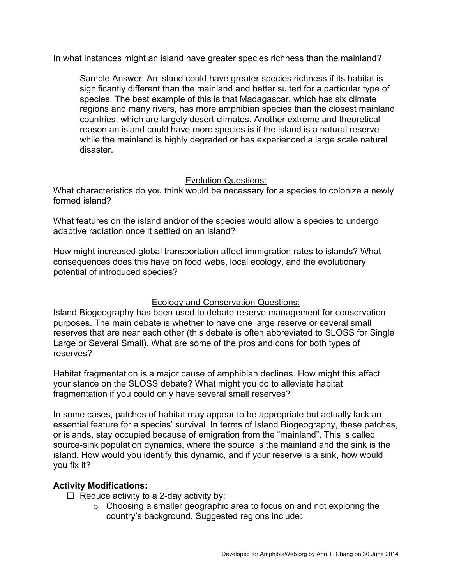In what instances might an island have greater species richness than the mainland?

Sample Answer: An island could have greater species richness if its habitat is significantly different than the mainland and better suited for a particular type of species. The best example of this is that Madagascar, which has six climate regions and many rivers, has more amphibian species than the closest mainland countries, which are largely desert climates. Another extreme and theoretical reason an island could have more species is if the island is a natural reserve while the mainland is highly degraded or has experienced a large scale natural disaster.

## Evolution Questions:

What characteristics do you think would be necessary for a species to colonize a newly formed island?

What features on the island and/or of the species would allow a species to undergo adaptive radiation once it settled on an island?

How might increased global transportation affect immigration rates to islands? What consequences does this have on food webs, local ecology, and the evolutionary potential of introduced species?

## Ecology and Conservation Questions:

Island Biogeography has been used to debate reserve management for conservation purposes. The main debate is whether to have one large reserve or several small reserves that are near each other (this debate is often abbreviated to SLOSS for Single Large or Several Small). What are some of the pros and cons for both types of reserves?

Habitat fragmentation is a major cause of amphibian declines. How might this affect your stance on the SLOSS debate? What might you do to alleviate habitat fragmentation if you could only have several small reserves?

In some cases, patches of habitat may appear to be appropriate but actually lack an essential feature for a species' survival. In terms of Island Biogeography, these patches, or islands, stay occupied because of emigration from the "mainland". This is called source-sink population dynamics, where the source is the mainland and the sink is the island. How would you identify this dynamic, and if your reserve is a sink, how would you fix it?

## **Activity Modifications:**

- $\Box$  Reduce activity to a 2-day activity by:
	- o Choosing a smaller geographic area to focus on and not exploring the country's background. Suggested regions include: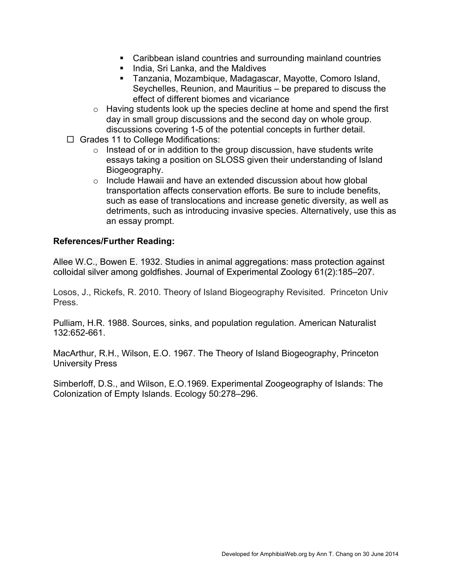- Caribbean island countries and surrounding mainland countries
- **India, Sri Lanka, and the Maldives**
- Tanzania, Mozambique, Madagascar, Mayotte, Comoro Island, Seychelles, Reunion, and Mauritius – be prepared to discuss the effect of different biomes and vicariance
- o Having students look up the species decline at home and spend the first day in small group discussions and the second day on whole group. discussions covering 1-5 of the potential concepts in further detail.
- $\Box$  Grades 11 to College Modifications:
	- $\circ$  Instead of or in addition to the group discussion, have students write essays taking a position on SLOSS given their understanding of Island Biogeography.
	- o Include Hawaii and have an extended discussion about how global transportation affects conservation efforts. Be sure to include benefits, such as ease of translocations and increase genetic diversity, as well as detriments, such as introducing invasive species. Alternatively, use this as an essay prompt.

# **References/Further Reading:**

Allee W.C., Bowen E. 1932. Studies in animal aggregations: mass protection against colloidal silver among goldfishes. Journal of Experimental Zoology 61(2):185–207.

Losos, J., Rickefs, R. 2010. Theory of Island Biogeography Revisited. Princeton Univ Press.

Pulliam, H.R. 1988. Sources, sinks, and population regulation. American Naturalist 132:652-661.

MacArthur, R.H., Wilson, E.O. 1967. The Theory of Island Biogeography, Princeton University Press

Simberloff, D.S., and Wilson, E.O.1969. Experimental Zoogeography of Islands: The Colonization of Empty Islands. Ecology 50:278–296.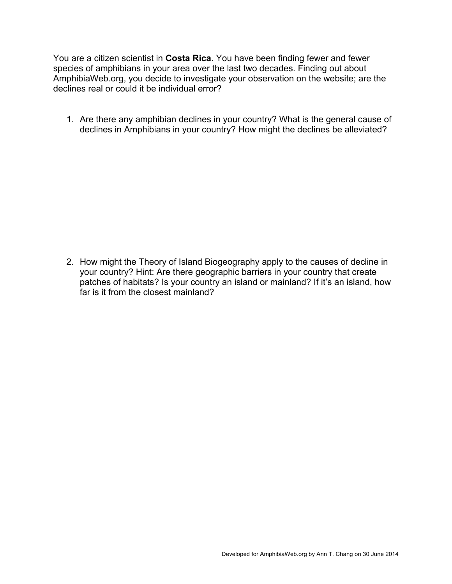You are a citizen scientist in **Costa Rica**. You have been finding fewer and fewer species of amphibians in your area over the last two decades. Finding out about AmphibiaWeb.org, you decide to investigate your observation on the website; are the declines real or could it be individual error?

1. Are there any amphibian declines in your country? What is the general cause of declines in Amphibians in your country? How might the declines be alleviated?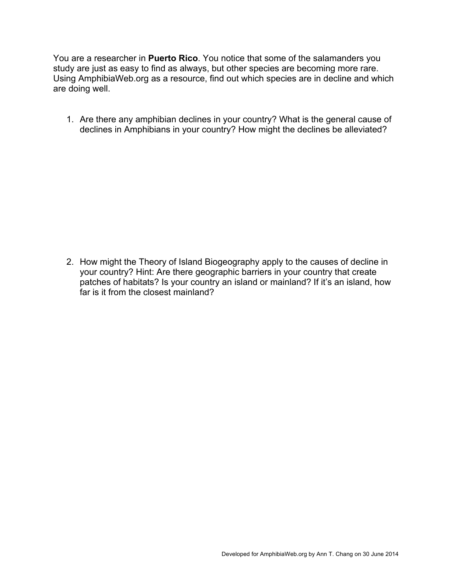You are a researcher in **Puerto Rico**. You notice that some of the salamanders you study are just as easy to find as always, but other species are becoming more rare. Using AmphibiaWeb.org as a resource, find out which species are in decline and which are doing well.

1. Are there any amphibian declines in your country? What is the general cause of declines in Amphibians in your country? How might the declines be alleviated?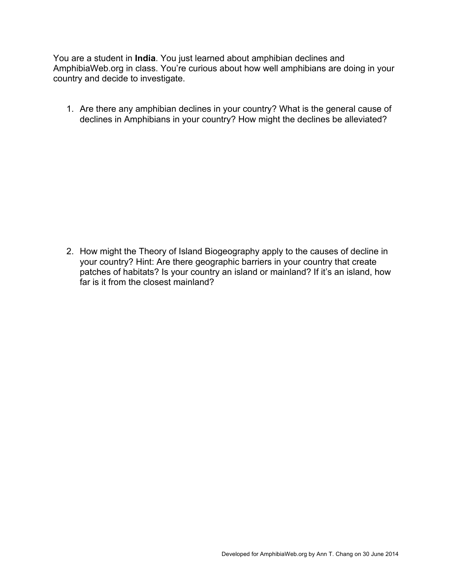You are a student in **India**. You just learned about amphibian declines and AmphibiaWeb.org in class. You're curious about how well amphibians are doing in your country and decide to investigate.

1. Are there any amphibian declines in your country? What is the general cause of declines in Amphibians in your country? How might the declines be alleviated?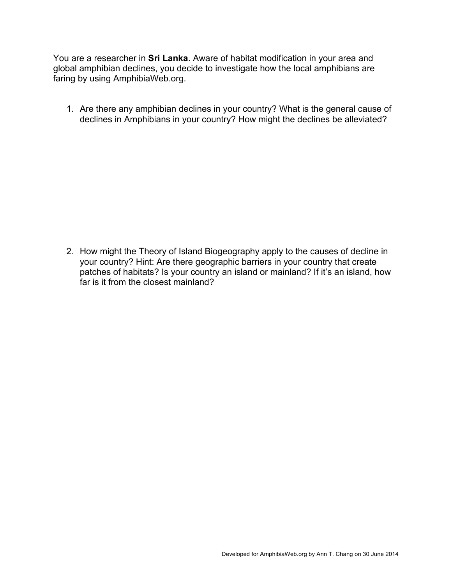You are a researcher in **Sri Lanka**. Aware of habitat modification in your area and global amphibian declines, you decide to investigate how the local amphibians are faring by using AmphibiaWeb.org.

1. Are there any amphibian declines in your country? What is the general cause of declines in Amphibians in your country? How might the declines be alleviated?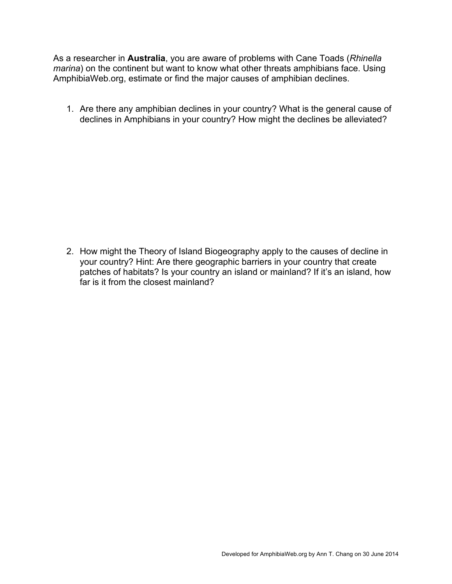As a researcher in **Australia**, you are aware of problems with Cane Toads (*Rhinella marina*) on the continent but want to know what other threats amphibians face. Using AmphibiaWeb.org, estimate or find the major causes of amphibian declines.

1. Are there any amphibian declines in your country? What is the general cause of declines in Amphibians in your country? How might the declines be alleviated?